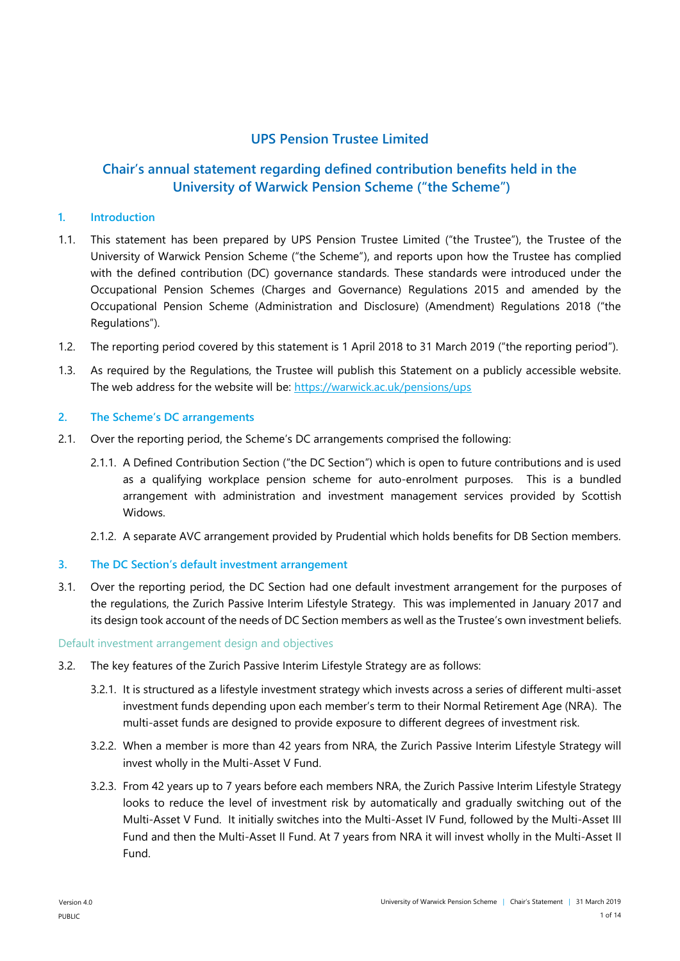# **UPS Pension Trustee Limited**

# **Chair's annual statement regarding defined contribution benefits held in the University of Warwick Pension Scheme ("the Scheme")**

## **1. Introduction**

- 1.1. This statement has been prepared by UPS Pension Trustee Limited ("the Trustee"), the Trustee of the University of Warwick Pension Scheme ("the Scheme"), and reports upon how the Trustee has complied with the defined contribution (DC) governance standards. These standards were introduced under the Occupational Pension Schemes (Charges and Governance) Regulations 2015 and amended by the Occupational Pension Scheme (Administration and Disclosure) (Amendment) Regulations 2018 ("the Regulations").
- 1.2. The reporting period covered by this statement is 1 April 2018 to 31 March 2019 ("the reporting period").
- 1.3. As required by the Regulations, the Trustee will publish this Statement on a publicly accessible website. The web address for the website will be: [https://warwick.ac.uk/pensions/ups](https://protect-eu.mimecast.com/s/kX6BCVmDBCxEY74uGghRZ?domain=warwick.ac.uk)

## **2. The Scheme's DC arrangements**

- 2.1. Over the reporting period, the Scheme's DC arrangements comprised the following:
	- 2.1.1. A Defined Contribution Section ("the DC Section") which is open to future contributions and is used as a qualifying workplace pension scheme for auto-enrolment purposes. This is a bundled arrangement with administration and investment management services provided by Scottish Widows.
	- 2.1.2. A separate AVC arrangement provided by Prudential which holds benefits for DB Section members.

## **3. The DC Section's default investment arrangement**

3.1. Over the reporting period, the DC Section had one default investment arrangement for the purposes of the regulations, the Zurich Passive Interim Lifestyle Strategy. This was implemented in January 2017 and its design took account of the needs of DC Section members as well as the Trustee's own investment beliefs.

## Default investment arrangement design and objectives

- 3.2. The key features of the Zurich Passive Interim Lifestyle Strategy are as follows:
	- 3.2.1. It is structured as a lifestyle investment strategy which invests across a series of different multi-asset investment funds depending upon each member's term to their Normal Retirement Age (NRA). The multi-asset funds are designed to provide exposure to different degrees of investment risk.
	- 3.2.2. When a member is more than 42 years from NRA, the Zurich Passive Interim Lifestyle Strategy will invest wholly in the Multi-Asset V Fund.
	- 3.2.3. From 42 years up to 7 years before each members NRA, the Zurich Passive Interim Lifestyle Strategy looks to reduce the level of investment risk by automatically and gradually switching out of the Multi-Asset V Fund. It initially switches into the Multi-Asset IV Fund, followed by the Multi-Asset III Fund and then the Multi-Asset II Fund. At 7 years from NRA it will invest wholly in the Multi-Asset II Fund.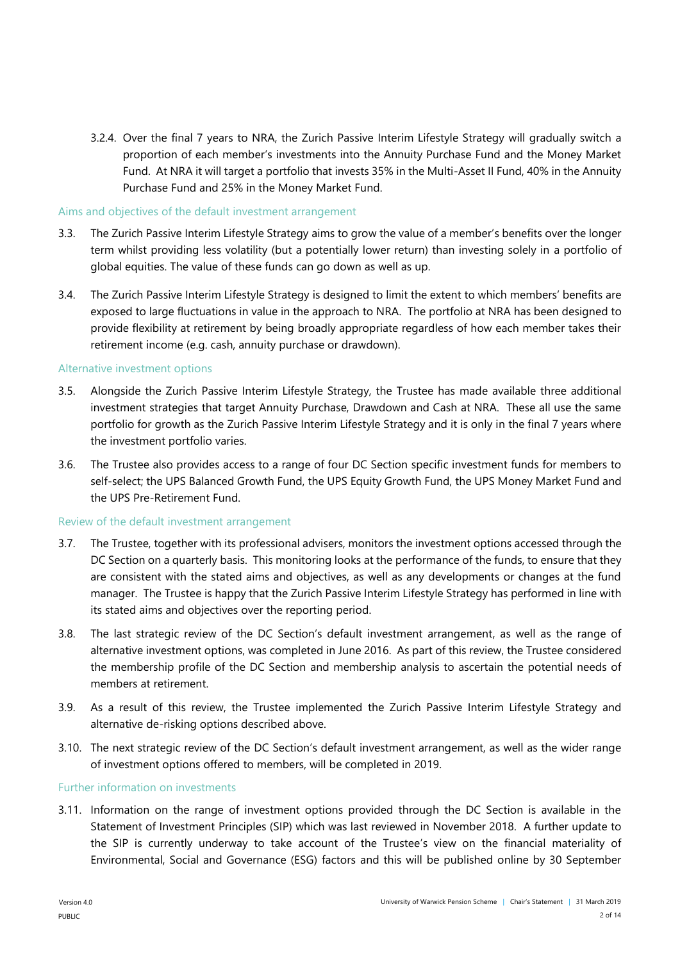3.2.4. Over the final 7 years to NRA, the Zurich Passive Interim Lifestyle Strategy will gradually switch a proportion of each member's investments into the Annuity Purchase Fund and the Money Market Fund. At NRA it will target a portfolio that invests 35% in the Multi-Asset II Fund, 40% in the Annuity Purchase Fund and 25% in the Money Market Fund.

## Aims and objectives of the default investment arrangement

- 3.3. The Zurich Passive Interim Lifestyle Strategy aims to grow the value of a member's benefits over the longer term whilst providing less volatility (but a potentially lower return) than investing solely in a portfolio of global equities. The value of these funds can go down as well as up.
- 3.4. The Zurich Passive Interim Lifestyle Strategy is designed to limit the extent to which members' benefits are exposed to large fluctuations in value in the approach to NRA. The portfolio at NRA has been designed to provide flexibility at retirement by being broadly appropriate regardless of how each member takes their retirement income (e.g. cash, annuity purchase or drawdown).

## Alternative investment options

- 3.5. Alongside the Zurich Passive Interim Lifestyle Strategy, the Trustee has made available three additional investment strategies that target Annuity Purchase, Drawdown and Cash at NRA. These all use the same portfolio for growth as the Zurich Passive Interim Lifestyle Strategy and it is only in the final 7 years where the investment portfolio varies.
- 3.6. The Trustee also provides access to a range of four DC Section specific investment funds for members to self-select; the UPS Balanced Growth Fund, the UPS Equity Growth Fund, the UPS Money Market Fund and the UPS Pre-Retirement Fund.

## Review of the default investment arrangement

- 3.7. The Trustee, together with its professional advisers, monitors the investment options accessed through the DC Section on a quarterly basis. This monitoring looks at the performance of the funds, to ensure that they are consistent with the stated aims and objectives, as well as any developments or changes at the fund manager. The Trustee is happy that the Zurich Passive Interim Lifestyle Strategy has performed in line with its stated aims and objectives over the reporting period.
- 3.8. The last strategic review of the DC Section's default investment arrangement, as well as the range of alternative investment options, was completed in June 2016. As part of this review, the Trustee considered the membership profile of the DC Section and membership analysis to ascertain the potential needs of members at retirement.
- 3.9. As a result of this review, the Trustee implemented the Zurich Passive Interim Lifestyle Strategy and alternative de-risking options described above.
- 3.10. The next strategic review of the DC Section's default investment arrangement, as well as the wider range of investment options offered to members, will be completed in 2019.

## Further information on investments

3.11. Information on the range of investment options provided through the DC Section is available in the Statement of Investment Principles (SIP) which was last reviewed in November 2018. A further update to the SIP is currently underway to take account of the Trustee's view on the financial materiality of Environmental, Social and Governance (ESG) factors and this will be published online by 30 September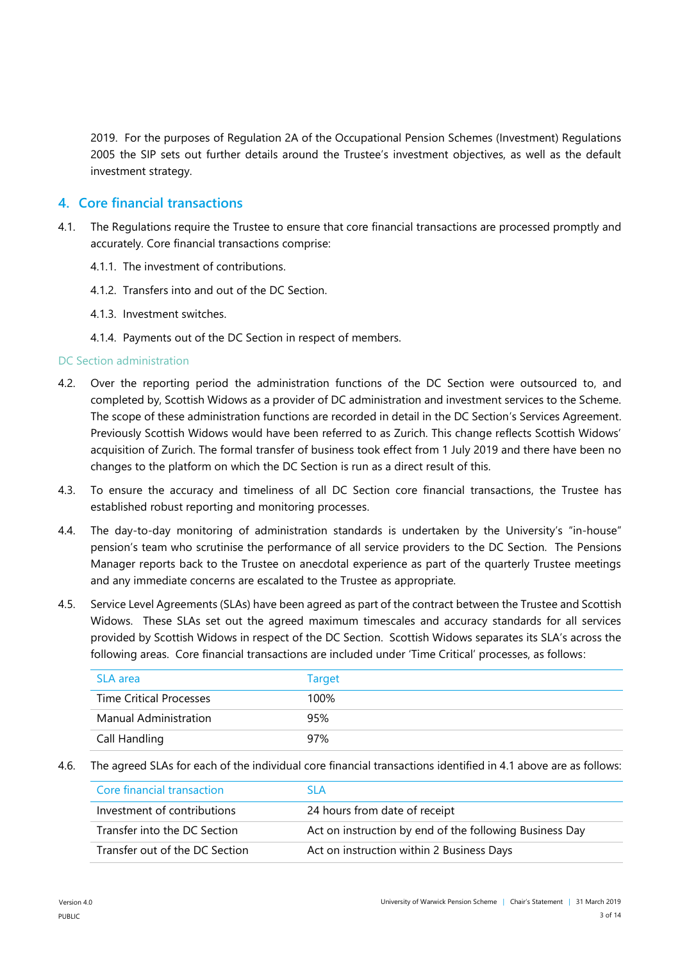2019. For the purposes of Regulation 2A of the Occupational Pension Schemes (Investment) Regulations 2005 the SIP sets out further details around the Trustee's investment objectives, as well as the default investment strategy.

# **4. Core financial transactions**

- 4.1. The Regulations require the Trustee to ensure that core financial transactions are processed promptly and accurately. Core financial transactions comprise:
	- 4.1.1. The investment of contributions.
	- 4.1.2. Transfers into and out of the DC Section.
	- 4.1.3. Investment switches.
	- 4.1.4. Payments out of the DC Section in respect of members.

## DC Section administration

- 4.2. Over the reporting period the administration functions of the DC Section were outsourced to, and completed by, Scottish Widows as a provider of DC administration and investment services to the Scheme. The scope of these administration functions are recorded in detail in the DC Section's Services Agreement. Previously Scottish Widows would have been referred to as Zurich. This change reflects Scottish Widows' acquisition of Zurich. The formal transfer of business took effect from 1 July 2019 and there have been no changes to the platform on which the DC Section is run as a direct result of this.
- 4.3. To ensure the accuracy and timeliness of all DC Section core financial transactions, the Trustee has established robust reporting and monitoring processes.
- 4.4. The day-to-day monitoring of administration standards is undertaken by the University's "in-house" pension's team who scrutinise the performance of all service providers to the DC Section. The Pensions Manager reports back to the Trustee on anecdotal experience as part of the quarterly Trustee meetings and any immediate concerns are escalated to the Trustee as appropriate.
- 4.5. Service Level Agreements (SLAs) have been agreed as part of the contract between the Trustee and Scottish Widows. These SLAs set out the agreed maximum timescales and accuracy standards for all services provided by Scottish Widows in respect of the DC Section. Scottish Widows separates its SLA's across the following areas. Core financial transactions are included under 'Time Critical' processes, as follows:

| SLA area                     | Target |
|------------------------------|--------|
| Time Critical Processes      | 100%   |
| <b>Manual Administration</b> | 95%    |
| Call Handling                | 97%    |

4.6. The agreed SLAs for each of the individual core financial transactions identified in 4.1 above are as follows:

| Core financial transaction     | SI A                                                    |
|--------------------------------|---------------------------------------------------------|
| Investment of contributions    | 24 hours from date of receipt                           |
| Transfer into the DC Section   | Act on instruction by end of the following Business Day |
| Transfer out of the DC Section | Act on instruction within 2 Business Days               |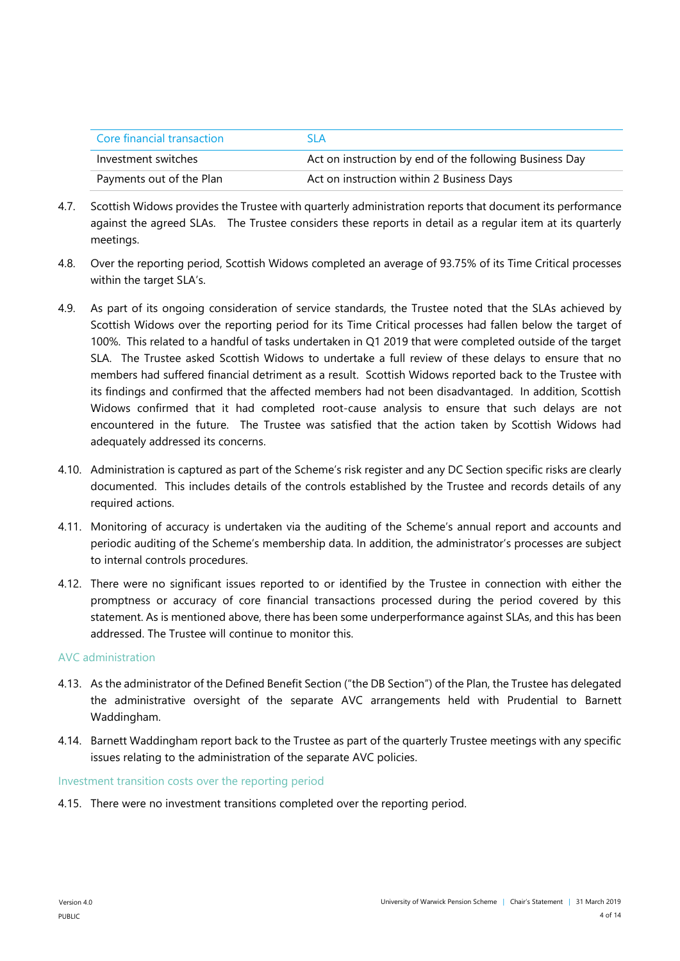| Core financial transaction | SI A                                                    |
|----------------------------|---------------------------------------------------------|
| Investment switches        | Act on instruction by end of the following Business Day |
| Payments out of the Plan   | Act on instruction within 2 Business Days               |

- 4.7. Scottish Widows provides the Trustee with quarterly administration reports that document its performance against the agreed SLAs. The Trustee considers these reports in detail as a regular item at its quarterly meetings.
- 4.8. Over the reporting period, Scottish Widows completed an average of 93.75% of its Time Critical processes within the target SLA's.
- 4.9. As part of its ongoing consideration of service standards, the Trustee noted that the SLAs achieved by Scottish Widows over the reporting period for its Time Critical processes had fallen below the target of 100%. This related to a handful of tasks undertaken in Q1 2019 that were completed outside of the target SLA. The Trustee asked Scottish Widows to undertake a full review of these delays to ensure that no members had suffered financial detriment as a result. Scottish Widows reported back to the Trustee with its findings and confirmed that the affected members had not been disadvantaged. In addition, Scottish Widows confirmed that it had completed root-cause analysis to ensure that such delays are not encountered in the future. The Trustee was satisfied that the action taken by Scottish Widows had adequately addressed its concerns.
- 4.10. Administration is captured as part of the Scheme's risk register and any DC Section specific risks are clearly documented. This includes details of the controls established by the Trustee and records details of any required actions.
- 4.11. Monitoring of accuracy is undertaken via the auditing of the Scheme's annual report and accounts and periodic auditing of the Scheme's membership data. In addition, the administrator's processes are subject to internal controls procedures.
- 4.12. There were no significant issues reported to or identified by the Trustee in connection with either the promptness or accuracy of core financial transactions processed during the period covered by this statement. As is mentioned above, there has been some underperformance against SLAs, and this has been addressed. The Trustee will continue to monitor this.

## AVC administration

- 4.13. As the administrator of the Defined Benefit Section ("the DB Section") of the Plan, the Trustee has delegated the administrative oversight of the separate AVC arrangements held with Prudential to Barnett Waddingham.
- 4.14. Barnett Waddingham report back to the Trustee as part of the quarterly Trustee meetings with any specific issues relating to the administration of the separate AVC policies.

## Investment transition costs over the reporting period

4.15. There were no investment transitions completed over the reporting period.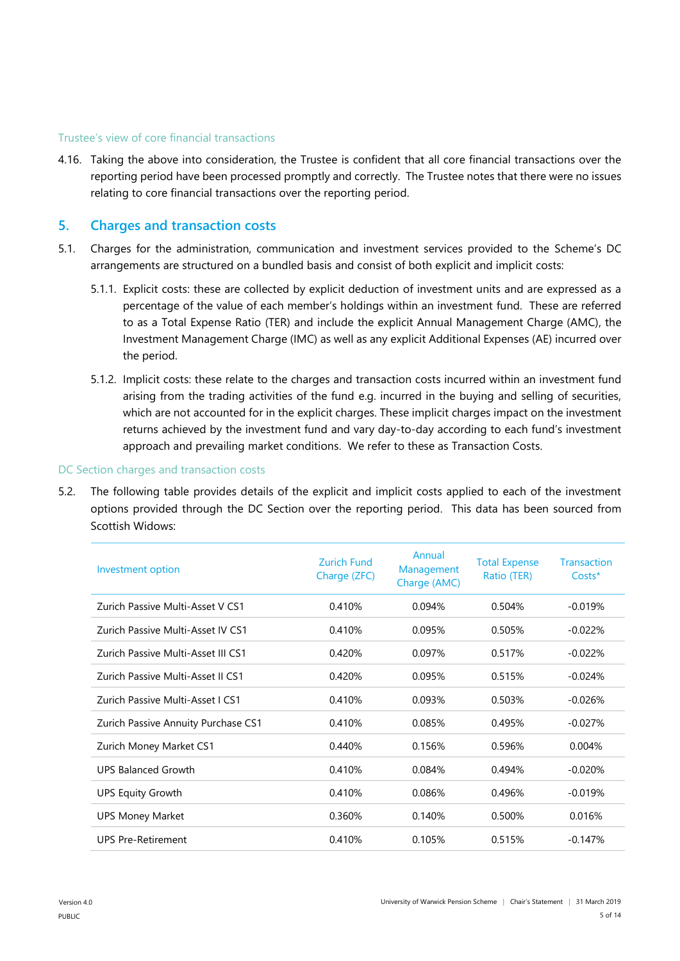#### Trustee's view of core financial transactions

4.16. Taking the above into consideration, the Trustee is confident that all core financial transactions over the reporting period have been processed promptly and correctly. The Trustee notes that there were no issues relating to core financial transactions over the reporting period.

## **5. Charges and transaction costs**

- 5.1. Charges for the administration, communication and investment services provided to the Scheme's DC arrangements are structured on a bundled basis and consist of both explicit and implicit costs:
	- 5.1.1. Explicit costs: these are collected by explicit deduction of investment units and are expressed as a percentage of the value of each member's holdings within an investment fund. These are referred to as a Total Expense Ratio (TER) and include the explicit Annual Management Charge (AMC), the Investment Management Charge (IMC) as well as any explicit Additional Expenses (AE) incurred over the period.
	- 5.1.2. Implicit costs: these relate to the charges and transaction costs incurred within an investment fund arising from the trading activities of the fund e.g. incurred in the buying and selling of securities, which are not accounted for in the explicit charges. These implicit charges impact on the investment returns achieved by the investment fund and vary day-to-day according to each fund's investment approach and prevailing market conditions. We refer to these as Transaction Costs.

#### DC Section charges and transaction costs

5.2. The following table provides details of the explicit and implicit costs applied to each of the investment options provided through the DC Section over the reporting period. This data has been sourced from Scottish Widows:

| Investment option                   | <b>Zurich Fund</b><br>Charge (ZFC) | Annual<br>Management<br>Charge (AMC) | <b>Total Expense</b><br>Ratio (TER) | <b>Transaction</b><br>$Costs^*$ |
|-------------------------------------|------------------------------------|--------------------------------------|-------------------------------------|---------------------------------|
| Zurich Passive Multi-Asset V CS1    | 0.410%                             | 0.094%                               | 0.504%                              | $-0.019%$                       |
| Zurich Passive Multi-Asset IV CS1   | 0.410%                             | 0.095%                               | 0.505%                              | $-0.022%$                       |
| Zurich Passive Multi-Asset III CS1  | 0.420%                             | 0.097%                               | 0.517%                              | $-0.022%$                       |
| Zurich Passive Multi-Asset II CS1   | 0.420%                             | 0.095%                               | 0.515%                              | $-0.024%$                       |
| Zurich Passive Multi-Asset I CS1    | 0.410%                             | 0.093%                               | 0.503%                              | $-0.026%$                       |
| Zurich Passive Annuity Purchase CS1 | 0.410%                             | 0.085%                               | 0.495%                              | $-0.027%$                       |
| Zurich Money Market CS1             | 0.440%                             | 0.156%                               | 0.596%                              | 0.004%                          |
| <b>UPS Balanced Growth</b>          | 0.410%                             | 0.084%                               | 0.494%                              | $-0.020%$                       |
| <b>UPS Equity Growth</b>            | 0.410%                             | 0.086%                               | 0.496%                              | $-0.019%$                       |
| <b>UPS Money Market</b>             | 0.360%                             | 0.140%                               | 0.500%                              | 0.016%                          |
| UPS Pre-Retirement                  | 0.410%                             | 0.105%                               | 0.515%                              | $-0.147%$                       |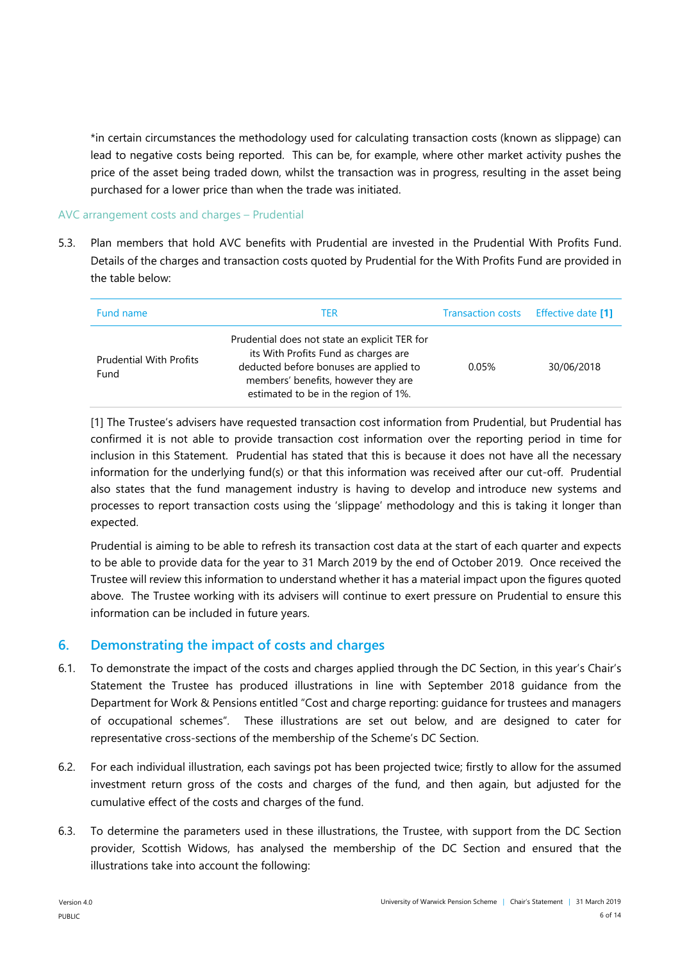\*in certain circumstances the methodology used for calculating transaction costs (known as slippage) can lead to negative costs being reported. This can be, for example, where other market activity pushes the price of the asset being traded down, whilst the transaction was in progress, resulting in the asset being purchased for a lower price than when the trade was initiated.

## AVC arrangement costs and charges – Prudential

5.3. Plan members that hold AVC benefits with Prudential are invested in the Prudential With Profits Fund. Details of the charges and transaction costs quoted by Prudential for the With Profits Fund are provided in the table below:

| Fund name                              | TER                                                                                                                                                                                                            | Transaction costs Effective date [1] |            |
|----------------------------------------|----------------------------------------------------------------------------------------------------------------------------------------------------------------------------------------------------------------|--------------------------------------|------------|
| <b>Prudential With Profits</b><br>Fund | Prudential does not state an explicit TER for<br>its With Profits Fund as charges are<br>deducted before bonuses are applied to<br>members' benefits, however they are<br>estimated to be in the region of 1%. | 0.05%                                | 30/06/2018 |

[1] The Trustee's advisers have requested transaction cost information from Prudential, but Prudential has confirmed it is not able to provide transaction cost information over the reporting period in time for inclusion in this Statement. Prudential has stated that this is because it does not have all the necessary information for the underlying fund(s) or that this information was received after our cut-off. Prudential also states that the fund management industry is having to develop and introduce new systems and processes to report transaction costs using the 'slippage' methodology and this is taking it longer than expected.

Prudential is aiming to be able to refresh its transaction cost data at the start of each quarter and expects to be able to provide data for the year to 31 March 2019 by the end of October 2019. Once received the Trustee will review this information to understand whether it has a material impact upon the figures quoted above. The Trustee working with its advisers will continue to exert pressure on Prudential to ensure this information can be included in future years.

# **6. Demonstrating the impact of costs and charges**

- 6.1. To demonstrate the impact of the costs and charges applied through the DC Section, in this year's Chair's Statement the Trustee has produced illustrations in line with September 2018 guidance from the Department for Work & Pensions entitled "Cost and charge reporting: guidance for trustees and managers of occupational schemes". These illustrations are set out below, and are designed to cater for representative cross-sections of the membership of the Scheme's DC Section.
- 6.2. For each individual illustration, each savings pot has been projected twice; firstly to allow for the assumed investment return gross of the costs and charges of the fund, and then again, but adjusted for the cumulative effect of the costs and charges of the fund.
- 6.3. To determine the parameters used in these illustrations, the Trustee, with support from the DC Section provider, Scottish Widows, has analysed the membership of the DC Section and ensured that the illustrations take into account the following: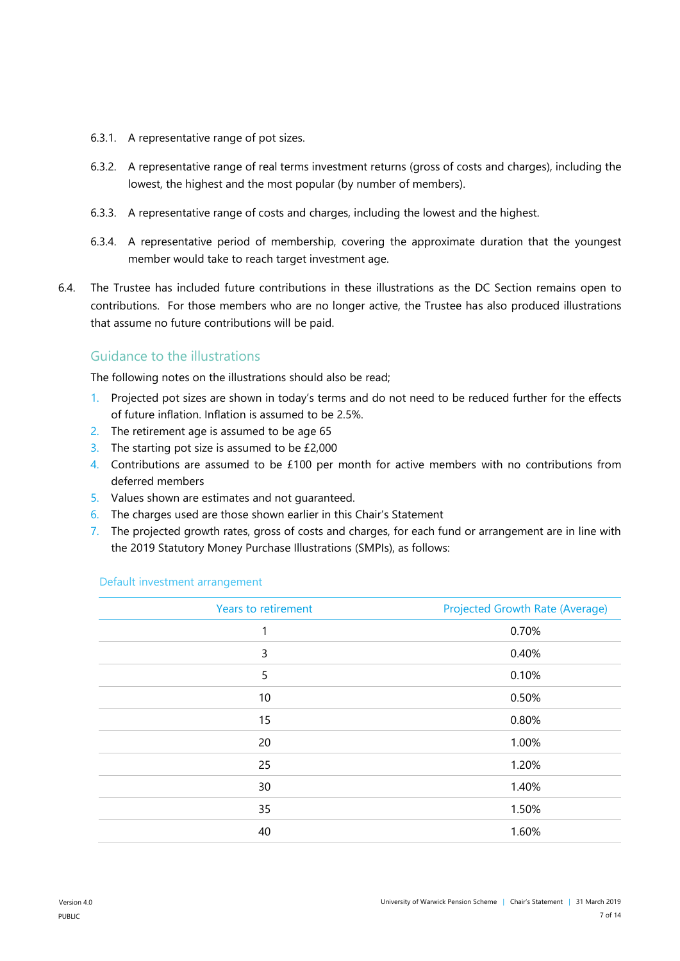- 6.3.1. A representative range of pot sizes.
- 6.3.2. A representative range of real terms investment returns (gross of costs and charges), including the lowest, the highest and the most popular (by number of members).
- 6.3.3. A representative range of costs and charges, including the lowest and the highest.
- 6.3.4. A representative period of membership, covering the approximate duration that the youngest member would take to reach target investment age.
- 6.4. The Trustee has included future contributions in these illustrations as the DC Section remains open to contributions. For those members who are no longer active, the Trustee has also produced illustrations that assume no future contributions will be paid.

# Guidance to the illustrations

The following notes on the illustrations should also be read;

- 1. Projected pot sizes are shown in today's terms and do not need to be reduced further for the effects of future inflation. Inflation is assumed to be 2.5%.
- 2. The retirement age is assumed to be age 65
- 3. The starting pot size is assumed to be £2,000
- 4. Contributions are assumed to be £100 per month for active members with no contributions from deferred members
- 5. Values shown are estimates and not guaranteed.
- 6. The charges used are those shown earlier in this Chair's Statement
- 7. The projected growth rates, gross of costs and charges, for each fund or arrangement are in line with the 2019 Statutory Money Purchase Illustrations (SMPIs), as follows:

| <b>Years to retirement</b> | Projected Growth Rate (Average) |
|----------------------------|---------------------------------|
| 1                          | 0.70%                           |
| 3                          | 0.40%                           |
| 5                          | 0.10%                           |
| 10                         | 0.50%                           |
| 15                         | 0.80%                           |
| 20                         | 1.00%                           |
| 25                         | 1.20%                           |
| 30                         | 1.40%                           |
| 35                         | 1.50%                           |
| 40                         | 1.60%                           |

## Default investment arrangement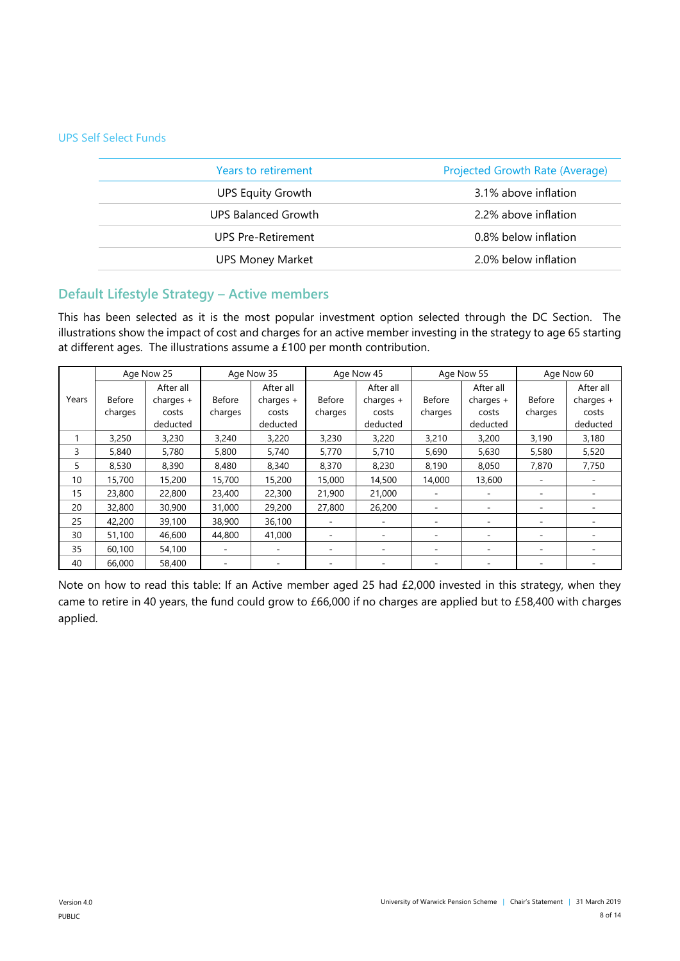UPS Self Select Funds

| Years to retirement      | Projected Growth Rate (Average) |
|--------------------------|---------------------------------|
| <b>UPS Equity Growth</b> | 3.1% above inflation            |
| UPS Balanced Growth      | 2.2% above inflation            |
| UPS Pre-Retirement       | 0.8% below inflation            |
| <b>UPS Money Market</b>  | 2.0% below inflation            |

# **Default Lifestyle Strategy – Active members**

This has been selected as it is the most popular investment option selected through the DC Section. The illustrations show the impact of cost and charges for an active member investing in the strategy to age 65 starting at different ages. The illustrations assume a £100 per month contribution.

|       |         | Age Now 25  |         | Age Now 35  |                          | Age Now 45               |         | Age Now 55 |                          | Age Now 60 |  |
|-------|---------|-------------|---------|-------------|--------------------------|--------------------------|---------|------------|--------------------------|------------|--|
|       |         | After all   |         | After all   |                          | After all                |         | After all  |                          | After all  |  |
| Years | Before  | charges $+$ | Before  | charges $+$ | Before                   | charges $+$              | Before  | charges +  | Before                   | charges +  |  |
|       | charges | costs       | charges | costs       | charges                  | costs                    | charges | costs      | charges                  | costs      |  |
|       |         | deducted    |         | deducted    |                          | deducted                 |         | deducted   |                          | deducted   |  |
|       | 3,250   | 3,230       | 3,240   | 3,220       | 3,230                    | 3,220                    | 3,210   | 3,200      | 3,190                    | 3,180      |  |
| 3     | 5,840   | 5,780       | 5,800   | 5,740       | 5,770                    | 5,710                    | 5,690   | 5,630      | 5,580                    | 5,520      |  |
| 5     | 8,530   | 8,390       | 8,480   | 8,340       | 8,370                    | 8,230                    | 8,190   | 8,050      | 7,870                    | 7,750      |  |
| 10    | 15,700  | 15,200      | 15.700  | 15,200      | 15,000                   | 14,500                   | 14,000  | 13,600     | ٠                        |            |  |
| 15    | 23,800  | 22,800      | 23,400  | 22,300      | 21,900                   | 21,000                   |         |            | $\overline{\phantom{a}}$ |            |  |
| 20    | 32,800  | 30,900      | 31,000  | 29,200      | 27,800                   | 26,200                   | ۰       |            | $\overline{\phantom{a}}$ |            |  |
| 25    | 42,200  | 39,100      | 38,900  | 36,100      | ٠                        |                          | ٠       |            | ٠                        |            |  |
| 30    | 51,100  | 46,600      | 44,800  | 41,000      | $\overline{\phantom{a}}$ | $\overline{a}$           | ۰       | ۰          | $\overline{\phantom{a}}$ |            |  |
| 35    | 60,100  | 54,100      | ۰       | ٠           | ٠                        | $\overline{\phantom{a}}$ | ٠       | ۰          | ٠                        |            |  |
| 40    | 66,000  | 58,400      | ۰       |             |                          |                          |         |            |                          |            |  |

Note on how to read this table: If an Active member aged 25 had £2,000 invested in this strategy, when they came to retire in 40 years, the fund could grow to £66,000 if no charges are applied but to £58,400 with charges applied.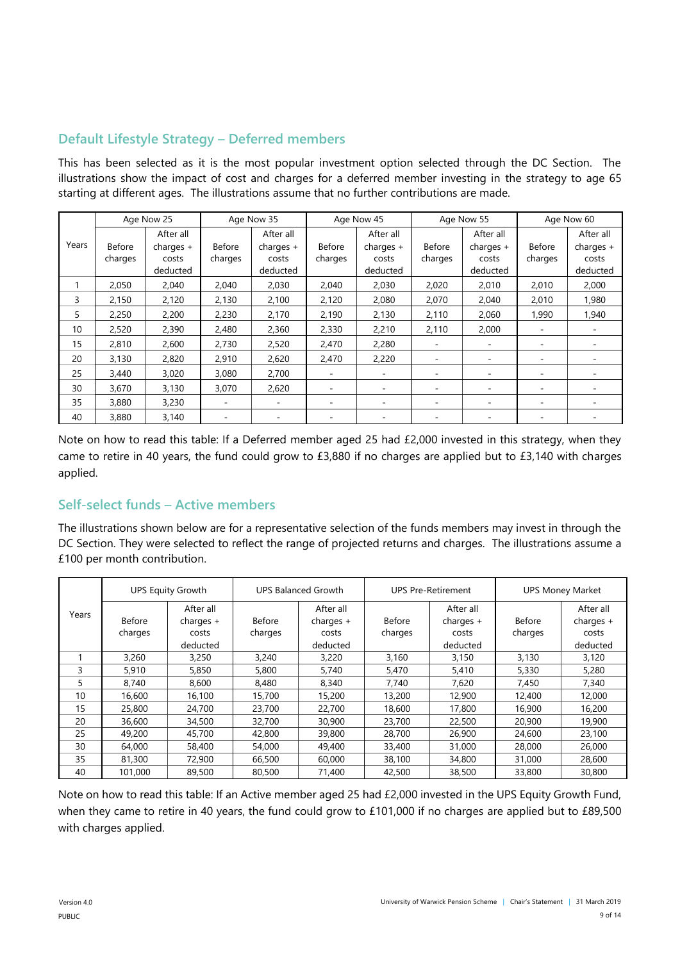# **Default Lifestyle Strategy – Deferred members**

This has been selected as it is the most popular investment option selected through the DC Section. The illustrations show the impact of cost and charges for a deferred member investing in the strategy to age 65 starting at different ages. The illustrations assume that no further contributions are made.

|       | Age Now 25    |             | Age Now 35 |             |               | Age Now 45               |                          | Age Now 55               |                          | Age Now 60  |  |
|-------|---------------|-------------|------------|-------------|---------------|--------------------------|--------------------------|--------------------------|--------------------------|-------------|--|
|       |               | After all   |            | After all   |               | After all                |                          | After all                |                          | After all   |  |
| Years | <b>Before</b> | charges $+$ | Before     | charges $+$ | <b>Before</b> | charges $+$              | <b>Before</b>            | charges $+$              | Before                   | charges $+$ |  |
|       | charges       | costs       | charges    | costs       | charges       | costs                    | charges                  | costs                    | charges                  | costs       |  |
|       |               | deducted    |            | deducted    |               | deducted                 |                          | deducted                 |                          | deducted    |  |
|       | 2,050         | 2,040       | 2,040      | 2,030       | 2,040         | 2,030                    | 2,020                    | 2,010                    | 2,010                    | 2,000       |  |
| 3     | 2,150         | 2,120       | 2,130      | 2,100       | 2,120         | 2,080                    | 2,070                    | 2,040                    | 2,010                    | 1,980       |  |
| 5     | 2,250         | 2,200       | 2,230      | 2,170       | 2,190         | 2,130                    | 2,110                    | 2,060                    | 1,990                    | 1,940       |  |
| 10    | 2,520         | 2,390       | 2,480      | 2,360       | 2,330         | 2,210                    | 2,110                    | 2,000                    | ٠                        |             |  |
| 15    | 2,810         | 2,600       | 2,730      | 2,520       | 2,470         | 2,280                    | ٠                        |                          | ٠                        |             |  |
| 20    | 3,130         | 2,820       | 2,910      | 2,620       | 2,470         | 2,220                    | ٠                        | ٠                        | ٠                        |             |  |
| 25    | 3,440         | 3,020       | 3,080      | 2,700       | ٠             | $\sim$                   | $\overline{\phantom{a}}$ | $\overline{\phantom{a}}$ | $\overline{\phantom{a}}$ |             |  |
| 30    | 3,670         | 3,130       | 3,070      | 2,620       | ٠             | $\sim$                   | $\overline{\phantom{a}}$ | $\overline{\phantom{a}}$ | ٠                        |             |  |
| 35    | 3,880         | 3,230       | ٠          | -           | -             | ٠                        | $\overline{\phantom{a}}$ | $\overline{\phantom{a}}$ | -                        |             |  |
| 40    | 3,880         | 3,140       | ٠          |             |               | $\overline{\phantom{0}}$ | $\overline{\phantom{a}}$ |                          |                          |             |  |

Note on how to read this table: If a Deferred member aged 25 had £2,000 invested in this strategy, when they came to retire in 40 years, the fund could grow to £3,880 if no charges are applied but to £3,140 with charges applied.

# **Self-select funds – Active members**

The illustrations shown below are for a representative selection of the funds members may invest in through the DC Section. They were selected to reflect the range of projected returns and charges. The illustrations assume a £100 per month contribution.

|       | <b>UPS Equity Growth</b> |             | <b>UPS Balanced Growth</b> |             |         | <b>UPS Pre-Retirement</b> | <b>UPS Money Market</b> |             |
|-------|--------------------------|-------------|----------------------------|-------------|---------|---------------------------|-------------------------|-------------|
| Years |                          | After all   |                            | After all   |         | After all                 |                         | After all   |
|       | Before                   | charges $+$ | Before                     | charges $+$ | Before  | charges $+$               | Before                  | charges $+$ |
|       | charges                  | costs       | charges                    | costs       | charges | costs                     | charges                 | costs       |
|       |                          | deducted    |                            | deducted    |         | deducted                  |                         | deducted    |
|       | 3,260                    | 3,250       | 3,240                      | 3,220       | 3,160   | 3,150                     | 3,130                   | 3,120       |
| 3     | 5,910                    | 5,850       | 5,800                      | 5,740       | 5,470   | 5,410                     | 5,330                   | 5,280       |
| 5     | 8.740                    | 8,600       | 8,480                      | 8,340       | 7,740   | 7,620                     | 7,450                   | 7,340       |
| 10    | 16,600                   | 16,100      | 15.700                     | 15,200      | 13,200  | 12,900                    | 12,400                  | 12,000      |
| 15    | 25,800                   | 24,700      | 23,700                     | 22,700      | 18,600  | 17,800                    | 16,900                  | 16,200      |
| 20    | 36,600                   | 34,500      | 32,700                     | 30,900      | 23,700  | 22,500                    | 20,900                  | 19,900      |
| 25    | 49,200                   | 45,700      | 42,800                     | 39,800      | 28,700  | 26,900                    | 24,600                  | 23,100      |
| 30    | 64,000                   | 58,400      | 54,000                     | 49,400      | 33,400  | 31,000                    | 28,000                  | 26,000      |
| 35    | 81,300                   | 72,900      | 66,500                     | 60,000      | 38,100  | 34,800                    | 31,000                  | 28,600      |
| 40    | 101,000                  | 89,500      | 80,500                     | 71,400      | 42,500  | 38,500                    | 33,800                  | 30,800      |

Note on how to read this table: If an Active member aged 25 had £2,000 invested in the UPS Equity Growth Fund, when they came to retire in 40 years, the fund could grow to £101,000 if no charges are applied but to £89,500 with charges applied.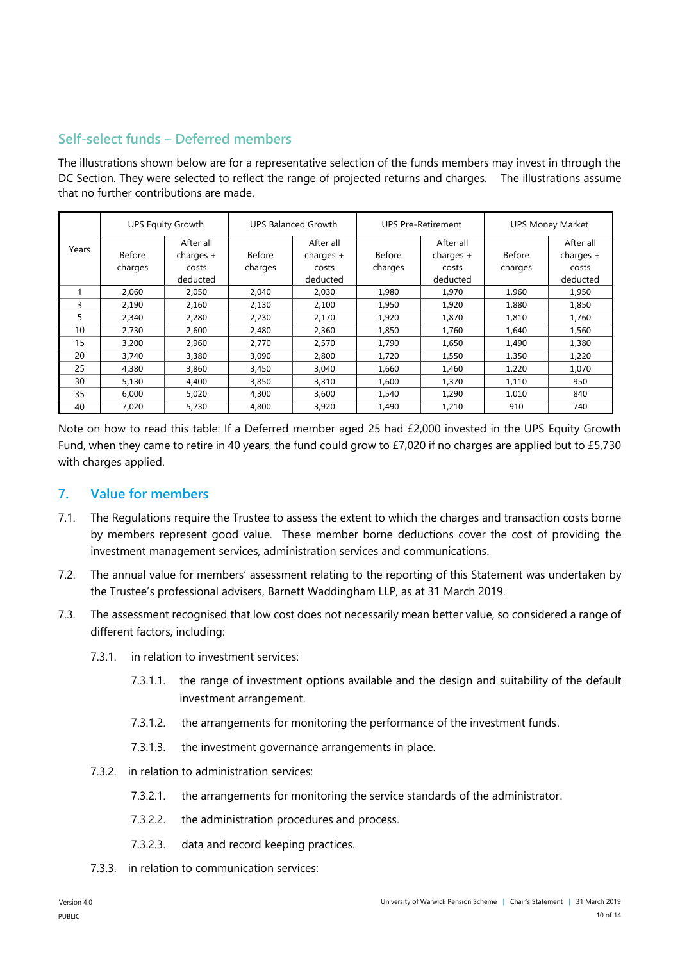# **Self-select funds – Deferred members**

The illustrations shown below are for a representative selection of the funds members may invest in through the DC Section. They were selected to reflect the range of projected returns and charges. The illustrations assume that no further contributions are made.

|       | <b>UPS Equity Growth</b> |             | <b>UPS Balanced Growth</b> |             |         | <b>UPS Pre-Retirement</b> | <b>UPS Money Market</b> |             |
|-------|--------------------------|-------------|----------------------------|-------------|---------|---------------------------|-------------------------|-------------|
|       |                          | After all   |                            | After all   |         | After all                 |                         | After all   |
| Years | Before                   | charges $+$ | Before                     | charges $+$ | Before  | charges $+$               | Before                  | charges $+$ |
|       | charges                  | costs       | charges                    | costs       | charges | costs                     | charges                 | costs       |
|       |                          | deducted    |                            | deducted    |         | deducted                  |                         | deducted    |
|       | 2,060                    | 2,050       | 2,040                      | 2,030       | 1,980   | 1,970                     | 1,960                   | 1,950       |
| 3     | 2,190                    | 2,160       | 2,130                      | 2,100       | 1,950   | 1,920                     | 1,880                   | 1,850       |
| 5     | 2,340                    | 2,280       | 2,230                      | 2,170       | 1,920   | 1,870                     | 1,810                   | 1,760       |
| 10    | 2,730                    | 2,600       | 2,480                      | 2,360       | 1,850   | 1,760                     | 1,640                   | 1,560       |
| 15    | 3,200                    | 2,960       | 2,770                      | 2,570       | 1,790   | 1,650                     | 1,490                   | 1,380       |
| 20    | 3,740                    | 3,380       | 3,090                      | 2,800       | 1,720   | 1,550                     | 1,350                   | 1,220       |
| 25    | 4,380                    | 3,860       | 3,450                      | 3,040       | 1,660   | 1,460                     | 1,220                   | 1,070       |
| 30    | 5,130                    | 4,400       | 3,850                      | 3,310       | 1,600   | 1,370                     | 1,110                   | 950         |
| 35    | 6,000                    | 5,020       | 4,300                      | 3,600       | 1,540   | 1,290                     | 1,010                   | 840         |
| 40    | 7,020                    | 5,730       | 4,800                      | 3,920       | 1,490   | 1,210                     | 910                     | 740         |

Note on how to read this table: If a Deferred member aged 25 had £2,000 invested in the UPS Equity Growth Fund, when they came to retire in 40 years, the fund could grow to £7,020 if no charges are applied but to £5,730 with charges applied.

# **7. Value for members**

- 7.1. The Regulations require the Trustee to assess the extent to which the charges and transaction costs borne by members represent good value. These member borne deductions cover the cost of providing the investment management services, administration services and communications.
- 7.2. The annual value for members' assessment relating to the reporting of this Statement was undertaken by the Trustee's professional advisers, Barnett Waddingham LLP, as at 31 March 2019.
- 7.3. The assessment recognised that low cost does not necessarily mean better value, so considered a range of different factors, including:
	- 7.3.1. in relation to investment services:
		- 7.3.1.1. the range of investment options available and the design and suitability of the default investment arrangement.
		- 7.3.1.2. the arrangements for monitoring the performance of the investment funds.
		- 7.3.1.3. the investment governance arrangements in place.
	- 7.3.2. in relation to administration services:
		- 7.3.2.1. the arrangements for monitoring the service standards of the administrator.
		- 7.3.2.2. the administration procedures and process.
		- 7.3.2.3. data and record keeping practices.
	- 7.3.3. in relation to communication services: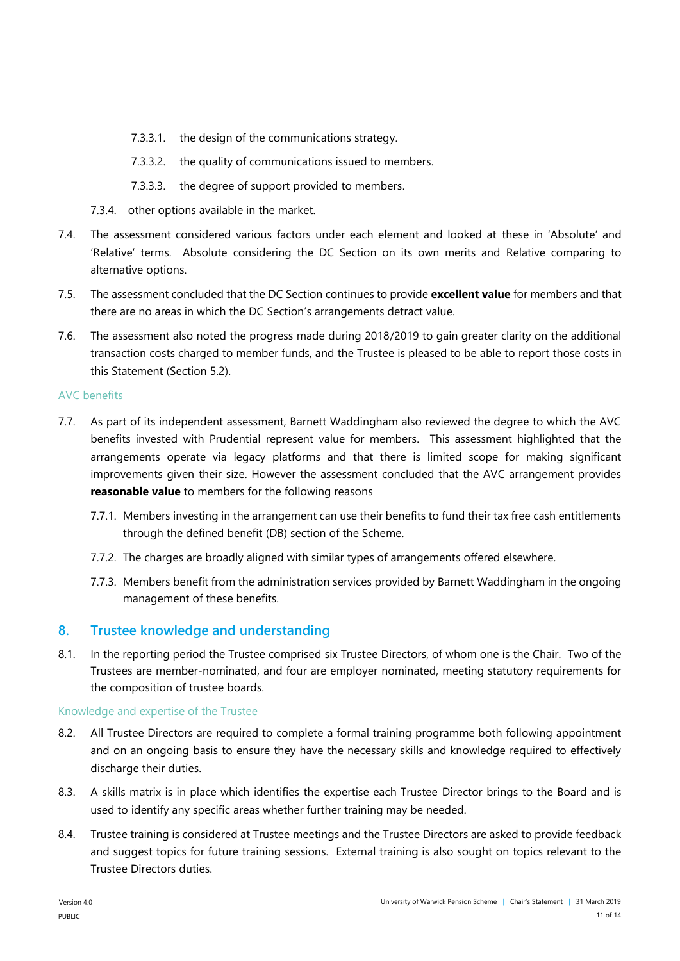- 7.3.3.1. the design of the communications strategy.
- 7.3.3.2. the quality of communications issued to members.
- 7.3.3.3. the degree of support provided to members.
- 7.3.4. other options available in the market.
- 7.4. The assessment considered various factors under each element and looked at these in 'Absolute' and 'Relative' terms. Absolute considering the DC Section on its own merits and Relative comparing to alternative options.
- 7.5. The assessment concluded that the DC Section continues to provide **excellent value** for members and that there are no areas in which the DC Section's arrangements detract value.
- 7.6. The assessment also noted the progress made during 2018/2019 to gain greater clarity on the additional transaction costs charged to member funds, and the Trustee is pleased to be able to report those costs in this Statement (Section 5.2).

## AVC benefits

- 7.7. As part of its independent assessment, Barnett Waddingham also reviewed the degree to which the AVC benefits invested with Prudential represent value for members. This assessment highlighted that the arrangements operate via legacy platforms and that there is limited scope for making significant improvements given their size. However the assessment concluded that the AVC arrangement provides **reasonable value** to members for the following reasons
	- 7.7.1. Members investing in the arrangement can use their benefits to fund their tax free cash entitlements through the defined benefit (DB) section of the Scheme.
	- 7.7.2. The charges are broadly aligned with similar types of arrangements offered elsewhere.
	- 7.7.3. Members benefit from the administration services provided by Barnett Waddingham in the ongoing management of these benefits.

# **8. Trustee knowledge and understanding**

8.1. In the reporting period the Trustee comprised six Trustee Directors, of whom one is the Chair. Two of the Trustees are member-nominated, and four are employer nominated, meeting statutory requirements for the composition of trustee boards.

## Knowledge and expertise of the Trustee

- 8.2. All Trustee Directors are required to complete a formal training programme both following appointment and on an ongoing basis to ensure they have the necessary skills and knowledge required to effectively discharge their duties.
- 8.3. A skills matrix is in place which identifies the expertise each Trustee Director brings to the Board and is used to identify any specific areas whether further training may be needed.
- 8.4. Trustee training is considered at Trustee meetings and the Trustee Directors are asked to provide feedback and suggest topics for future training sessions. External training is also sought on topics relevant to the Trustee Directors duties.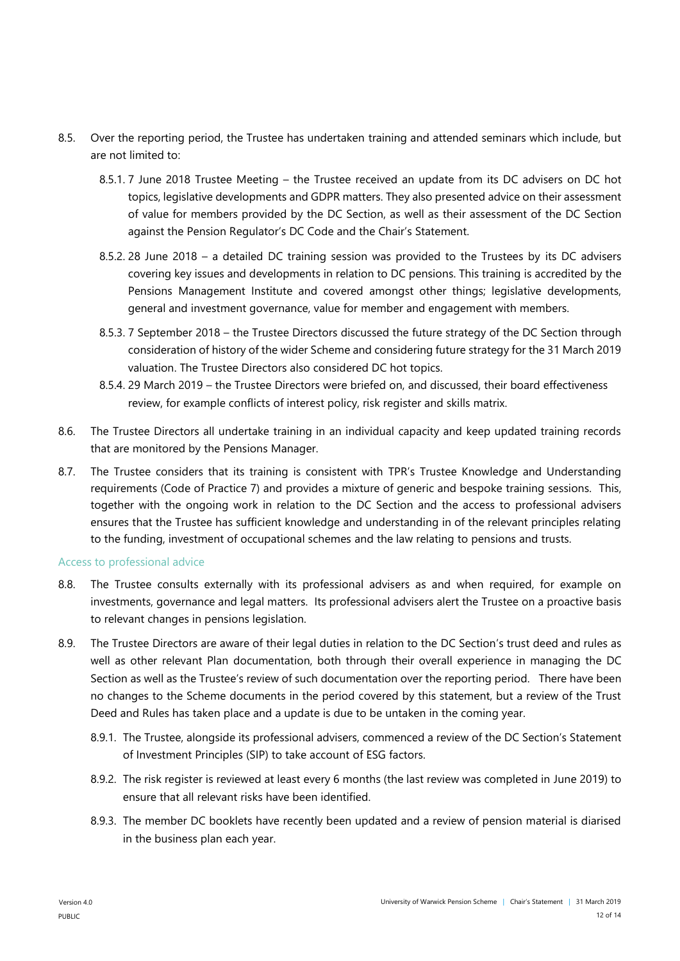- 8.5. Over the reporting period, the Trustee has undertaken training and attended seminars which include, but are not limited to:
	- 8.5.1. 7 June 2018 Trustee Meeting the Trustee received an update from its DC advisers on DC hot topics, legislative developments and GDPR matters. They also presented advice on their assessment of value for members provided by the DC Section, as well as their assessment of the DC Section against the Pension Regulator's DC Code and the Chair's Statement.
	- 8.5.2. 28 June 2018 a detailed DC training session was provided to the Trustees by its DC advisers covering key issues and developments in relation to DC pensions. This training is accredited by the Pensions Management Institute and covered amongst other things; legislative developments, general and investment governance, value for member and engagement with members.
	- 8.5.3. 7 September 2018 the Trustee Directors discussed the future strategy of the DC Section through consideration of history of the wider Scheme and considering future strategy for the 31 March 2019 valuation. The Trustee Directors also considered DC hot topics.
	- 8.5.4. 29 March 2019 the Trustee Directors were briefed on, and discussed, their board effectiveness review, for example conflicts of interest policy, risk register and skills matrix.
- 8.6. The Trustee Directors all undertake training in an individual capacity and keep updated training records that are monitored by the Pensions Manager.
- 8.7. The Trustee considers that its training is consistent with TPR's Trustee Knowledge and Understanding requirements (Code of Practice 7) and provides a mixture of generic and bespoke training sessions. This, together with the ongoing work in relation to the DC Section and the access to professional advisers ensures that the Trustee has sufficient knowledge and understanding in of the relevant principles relating to the funding, investment of occupational schemes and the law relating to pensions and trusts.

## Access to professional advice

- 8.8. The Trustee consults externally with its professional advisers as and when required, for example on investments, governance and legal matters. Its professional advisers alert the Trustee on a proactive basis to relevant changes in pensions legislation.
- 8.9. The Trustee Directors are aware of their legal duties in relation to the DC Section's trust deed and rules as well as other relevant Plan documentation, both through their overall experience in managing the DC Section as well as the Trustee's review of such documentation over the reporting period. There have been no changes to the Scheme documents in the period covered by this statement, but a review of the Trust Deed and Rules has taken place and a update is due to be untaken in the coming year.
	- 8.9.1. The Trustee, alongside its professional advisers, commenced a review of the DC Section's Statement of Investment Principles (SIP) to take account of ESG factors.
	- 8.9.2. The risk register is reviewed at least every 6 months (the last review was completed in June 2019) to ensure that all relevant risks have been identified.
	- 8.9.3. The member DC booklets have recently been updated and a review of pension material is diarised in the business plan each year.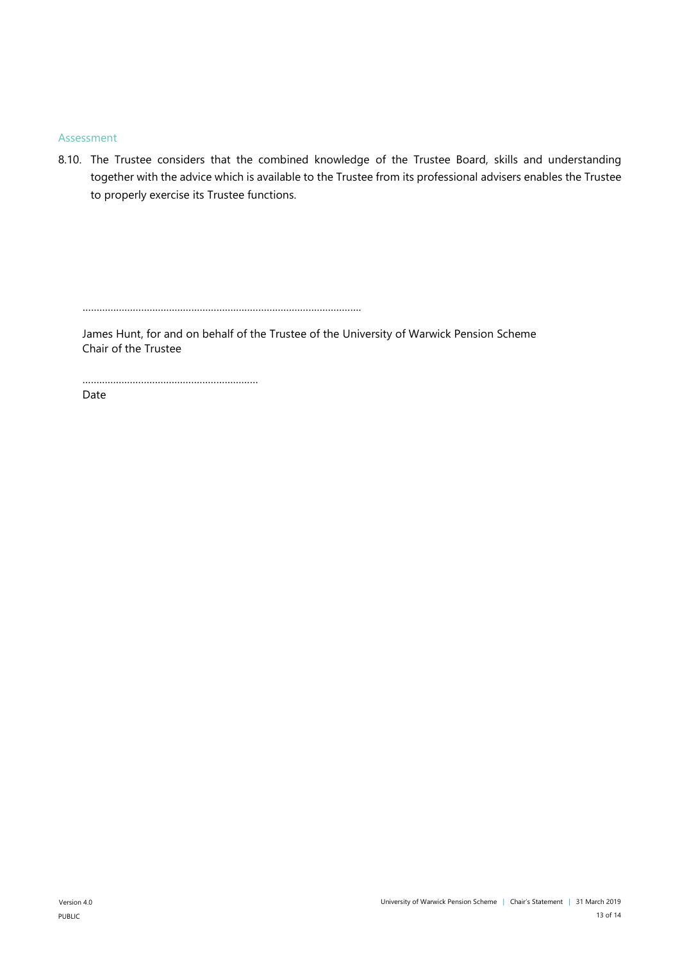#### Assessment

8.10. The Trustee considers that the combined knowledge of the Trustee Board, skills and understanding together with the advice which is available to the Trustee from its professional advisers enables the Trustee to properly exercise its Trustee functions.

……………………………………………………………………………………….

James Hunt, for and on behalf of the Trustee of the University of Warwick Pension Scheme Chair of the Trustee

……………………………………………………… Date